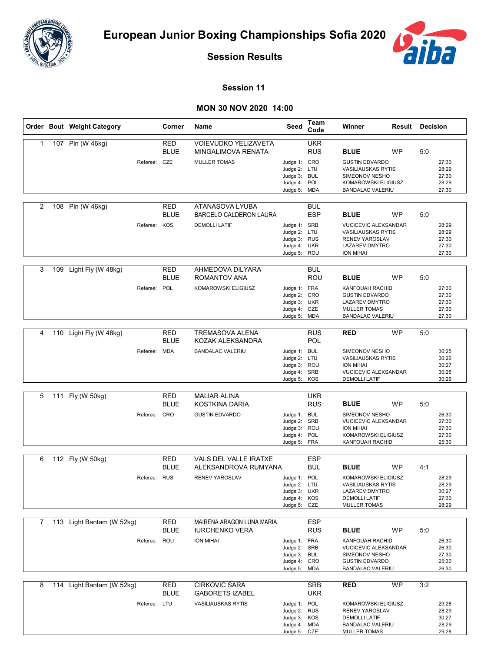



**Session Results**

## **Session 11**

## **MON 30 NOV 2020 14:00**

|   | Order Bout Weight Category         | Corner                                    | Name                                                                     | Seed                                                                         | Team<br>Code             | Winner                                                                                                                                 | <b>Result Decision</b> |     |                                           |
|---|------------------------------------|-------------------------------------------|--------------------------------------------------------------------------|------------------------------------------------------------------------------|--------------------------|----------------------------------------------------------------------------------------------------------------------------------------|------------------------|-----|-------------------------------------------|
| 1 | 107 Pin (W 46kg)                   | <b>RED</b><br><b>BLUE</b><br>Referee: CZE | <b>VOIEVUDKO YELIZAVETA</b><br>MINGALIMOVA RENATA<br><b>MULLER TOMAS</b> | Judge 1: CRO<br>Judge 2: LTU<br>Judge 3: BUL<br>Judge 4: POL<br>Judge 5: MDA | <b>UKR</b><br><b>RUS</b> | <b>BLUE</b><br><b>GUSTIN EDVARDO</b><br><b>VASILIAUSKAS RYTIS</b><br>SIMEONOV NESHO<br>KOMAROWSKI ELIGIUSZ<br><b>BANDALAC VALERIU</b>  | <b>WP</b>              | 5:0 | 27:30<br>28:29<br>27:30<br>28:29<br>27:30 |
| 2 | 108 Pin (W 46kg)                   | <b>RED</b><br><b>BLUE</b><br>Referee: KOS | ATANASOVA LYUBA<br><b>BARCELO CALDERON LAURA</b><br><b>DEMOLLI LATIF</b> | Judge 1: SRB<br>Judge 2: LTU<br>Judge 3: RUS<br>Judge 4: UKR<br>Judge 5: ROU | <b>BUL</b><br><b>ESP</b> | <b>BLUE</b><br><b>VUCICEVIC ALEKSANDAR</b><br><b>VASILIAUSKAS RYTIS</b><br><b>RENEV YAROSLAV</b><br>LAZAREV DMYTRO<br><b>ION MIHAI</b> | <b>WP</b>              | 5:0 | 28:29<br>28:29<br>27:30<br>27:30<br>27:30 |
| 3 | 109 Light Fly (W 48kg)<br>Referee: | <b>RED</b><br><b>BLUE</b><br>POL          | AHMEDOVA DILYARA<br>ROMANTOV ANA<br><b>KOMAROWSKI ELIGIUSZ</b>           | Judge 1: FRA<br>Judge 2: CRO<br>Judge 3: UKR<br>Judge 4: CZE<br>Judge 5: MDA | <b>BUL</b><br>ROU        | <b>BLUE</b><br><b>KANFOUAH RACHID</b><br><b>GUSTIN EDVARDO</b><br><b>LAZAREV DMYTRO</b><br><b>MULLER TOMAS</b><br>BANDALAC VALERIU     | <b>WP</b>              | 5:0 | 27:30<br>27:30<br>27:30<br>27:30<br>27:30 |
| 4 | 110 Light Fly (W 48kg)             | RED<br><b>BLUE</b><br>Referee: MDA        | <b>TREMASOVA ALENA</b><br>KOZAK ALEKSANDRA<br><b>BANDALAC VALERIU</b>    | Judge 1: BUL<br>Judge 2: LTU<br>Judge 3: ROU<br>Judge 4: SRB<br>Judge 5: KOS | <b>RUS</b><br>POL        | RED<br>SIMEONOV NESHO<br><b>VASILIAUSKAS RYTIS</b><br><b>ION MIHAI</b><br><b>VUCICEVIC ALEKSANDAR</b><br><b>DEMOLLI LATIF</b>          | <b>WP</b>              | 5:0 | 30:25<br>30:26<br>30:27<br>30:25<br>30:26 |
| 5 | 111 Fly (W 50kg)                   | <b>RED</b><br><b>BLUE</b><br>Referee: CRO | <b>MALIAR ALINA</b><br>KOSTKINA DARIA<br><b>GUSTIN EDVARDO</b>           | Judge 1: BUL<br>Judge 2: SRB<br>Judge 3: ROU<br>Judge 4: POL<br>Judge 5: FRA | <b>UKR</b><br><b>RUS</b> | <b>BLUE</b><br>SIMEONOV NESHO<br><b>VUCICEVIC ALEKSANDAR</b><br><b>ION MIHAI</b><br>KOMAROWSKI ELIGIUSZ<br>KANFOUAH RACHID             | <b>WP</b>              | 5:0 | 26:30<br>27:30<br>27:30<br>27:30<br>25:30 |
| 6 | 112 Fly (W 50kg)                   | <b>RED</b><br><b>BLUE</b><br>Referee: RUS | VALS DEL VALLE IRATXE<br>ALEKSANDROVA RUMYANA<br><b>RENEV YAROSLAV</b>   | Judge 1: POL<br>Judge 2: LTU<br>Judge 3: UKR<br>Judge 4: KOS<br>Judge 5: CZE | <b>ESP</b><br>BUL        | <b>BLUE</b><br>KOMAROWSKI ELIGIUSZ<br><b>VASILIAUSKAS RYTIS</b><br>LAZAREV DMYTRO<br><b>DEMOLLI LATIF</b><br><b>MULLER TOMAS</b>       | <b>WP</b>              | 4:1 | 28:29<br>28:29<br>30:27<br>27:30<br>28:29 |
| 7 | 113 Light Bantam (W 52kg)          | <b>RED</b><br>BLUE<br>Referee: ROU        | MAIRENA ARAGON LUNA MARIA<br><b>IURCHENKO VERA</b><br><b>ION MIHAI</b>   | Judge 1: FRA<br>Judge 2: SRB<br>Judge 3: BUL<br>Judge 4: CRO<br>Judge 5: MDA | <b>ESP</b><br><b>RUS</b> | <b>BLUE</b><br>KANFOUAH RACHID<br><b>VUCICEVIC ALEKSANDAR</b><br>SIMEONOV NESHO<br><b>GUSTIN EDVARDO</b><br>BANDALAC VALERIU           | WP                     | 5:0 | 26:30<br>26:30<br>27:30<br>25:30<br>26:30 |
| 8 | 114 Light Bantam (W 52kg)          | <b>RED</b><br><b>BLUE</b><br>Referee: LTU | CIRKOVIC SARA<br><b>GABORETS IZABEL</b><br><b>VASILIAUSKAS RYTIS</b>     | Judge 1: POL<br>Judge 2: RUS<br>Judge 3: KOS<br>Judge 4: MDA<br>Judge 5: CZE | <b>SRB</b><br><b>UKR</b> | RED<br>KOMAROWSKI ELIGIUSZ<br>RENEV YAROSLAV<br><b>DEMOLLI LATIF</b><br>BANDALAC VALERIU<br><b>MULLER TOMAS</b>                        | <b>WP</b>              | 3:2 | 29:28<br>28:29<br>30:27<br>28:29<br>29:28 |